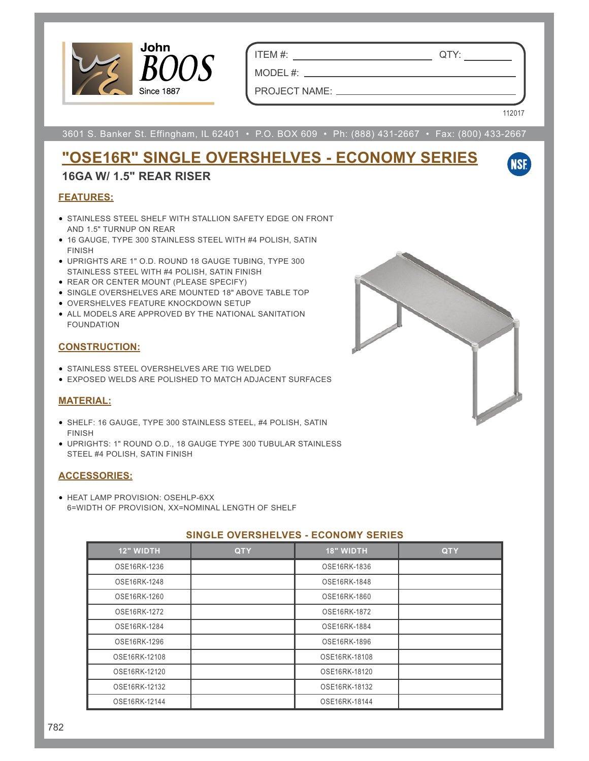

ITEM #: QTY:

PROJECT NAME:

MODEL #:

112017

**NSF** 

3601 S. Banker St. Effingham, IL 62401 • P.O. BOX 609 • Ph: (888) 431-2667 • Fax: (800) 433-2667

# **"OSE16R" SINGLE OVERSHELVES - ECONOMY SERIES**

### **16GA W/ 1.5" REAR RISER**

#### **FEATURES:**

- STAINLESS STEEL SHELF WITH STALLION SAFETY EDGE ON FRONT AND 1.5" TURNUP ON REAR
- 16 GAUGE, TYPE 300 STAINLESS STEEL WITH #4 POLISH, SATIN FINISH
- UPRIGHTS ARE 1" O.D. ROUND 18 GAUGE TUBING, TYPE 300 STAINLESS STEEL WITH #4 POLISH, SATIN FINISH
- REAR OR CENTER MOUNT (PLEASE SPECIFY)
- SINGLE OVERSHELVES ARE MOUNTED 18" ABOVE TABLE TOP
- OVERSHELVES FEATURE KNOCKDOWN SETUP
- ALL MODELS ARE APPROVED BY THE NATIONAL SANITATION FOUNDATION

#### **CONSTRUCTION:**

- STAINLESS STEEL OVERSHELVES ARE TIG WELDED
- EXPOSED WELDS ARE POLISHED TO MATCH ADJACENT SURFACES

#### **MATERIAL:**

- SHELF: 16 GAUGE, TYPE 300 STAINLESS STEEL, #4 POLISH, SATIN FINISH
- UPRIGHTS: 1" ROUND O.D., 18 GAUGE TYPE 300 TUBULAR STAINLESS STEEL #4 POLISH, SATIN FINISH

#### **ACCESSORIES:**

• HEAT LAMP PROVISION: OSEHLP-6XX 6=WIDTH OF PROVISION, XX=NOMINAL LENGTH OF SHELF

#### **SINGLE OVERSHELVES - ECONOMY SERIES**

| <b>12" WIDTH</b> | <b>QTY</b> | <b>18" WIDTH</b> | <b>QTY</b> |
|------------------|------------|------------------|------------|
| OSE16RK-1236     |            | OSE16RK-1836     |            |
| OSE16RK-1248     |            | OSE16RK-1848     |            |
| OSE16RK-1260     |            | OSE16RK-1860     |            |
| OSE16RK-1272     |            | OSE16RK-1872     |            |
| OSE16RK-1284     |            | OSE16RK-1884     |            |
| OSE16RK-1296     |            | OSE16RK-1896     |            |
| OSE16RK-12108    |            | OSE16RK-18108    |            |
| OSE16RK-12120    |            | OSE16RK-18120    |            |
| OSE16RK-12132    |            | OSE16RK-18132    |            |
| OSE16RK-12144    |            | OSE16RK-18144    |            |